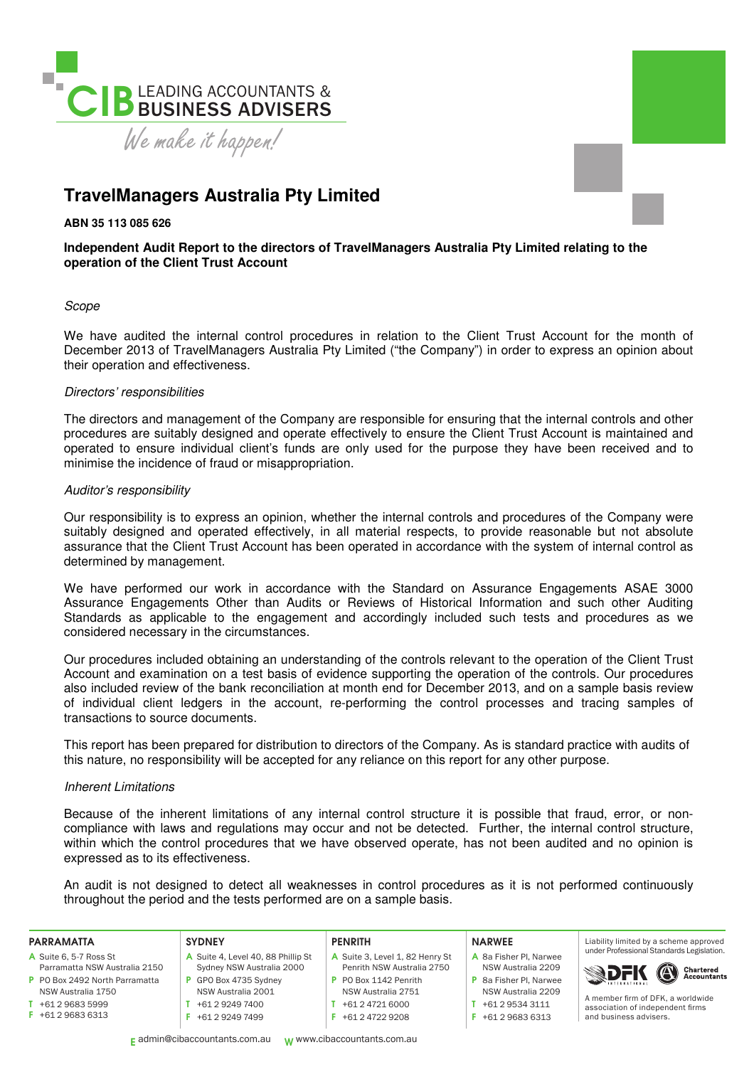

## **TravelManagers Australia Pty Limited**

**ABN 35 113 085 626** 

## **Independent Audit Report to the directors of TravelManagers Australia Pty Limited relating to the operation of the Client Trust Account**

### Scope

We have audited the internal control procedures in relation to the Client Trust Account for the month of December 2013 of TravelManagers Australia Pty Limited ("the Company") in order to express an opinion about their operation and effectiveness.

### Directors' responsibilities

The directors and management of the Company are responsible for ensuring that the internal controls and other procedures are suitably designed and operate effectively to ensure the Client Trust Account is maintained and operated to ensure individual client's funds are only used for the purpose they have been received and to minimise the incidence of fraud or misappropriation.

### Auditor's responsibility

Our responsibility is to express an opinion, whether the internal controls and procedures of the Company were suitably designed and operated effectively, in all material respects, to provide reasonable but not absolute assurance that the Client Trust Account has been operated in accordance with the system of internal control as determined by management.

We have performed our work in accordance with the Standard on Assurance Engagements ASAE 3000 Assurance Engagements Other than Audits or Reviews of Historical Information and such other Auditing Standards as applicable to the engagement and accordingly included such tests and procedures as we considered necessary in the circumstances.

Our procedures included obtaining an understanding of the controls relevant to the operation of the Client Trust Account and examination on a test basis of evidence supporting the operation of the controls. Our procedures also included review of the bank reconciliation at month end for December 2013, and on a sample basis review of individual client ledgers in the account, re-performing the control processes and tracing samples of transactions to source documents.

This report has been prepared for distribution to directors of the Company. As is standard practice with audits of this nature, no responsibility will be accepted for any reliance on this report for any other purpose.

### Inherent Limitations

Because of the inherent limitations of any internal control structure it is possible that fraud, error, or noncompliance with laws and regulations may occur and not be detected. Further, the internal control structure, within which the control procedures that we have observed operate, has not been audited and no opinion is expressed as to its effectiveness.

An audit is not designed to detect all weaknesses in control procedures as it is not performed continuously throughout the period and the tests performed are on a sample basis.

#### PARRAMATTA

- A Suite 6, 5-7 Ross St Parramatta NSW Australia 2150
- P PO Box 2492 North Parramatta
- NSW Australia 1750 T +61 2 9683 5999
- F +61 2 9683 6313
- **SYDNEY** A Suite 4, Level 40, 88 Phillip St Sydney NSW Australia 2000 P GPO Box 4735 Sydney NSW Australia 2001

T +61 2 9249 7400 F +61 2 9249 7499

#### PENRITH

- A Suite 3, Level 1, 82 Henry St Penrith NSW Australia 2750 P PO Box 1142 Penrith
- NSW Australia 2751
- T +61 2 4721 6000
	- F +61 2 4722 9208

#### NARWEE

- A 8a Fisher Pl, Narwee NSW Australia 2209 P 8a Fisher Pl, Narwee NSW Australia 2209
- $T + 61 2 9534 3111$
- F +61 2 9683 6313

Liability limited by a scheme approved under Professional Standards Legislation.



A member irm of DFK, a worldwide association of independent firms and business advisers.